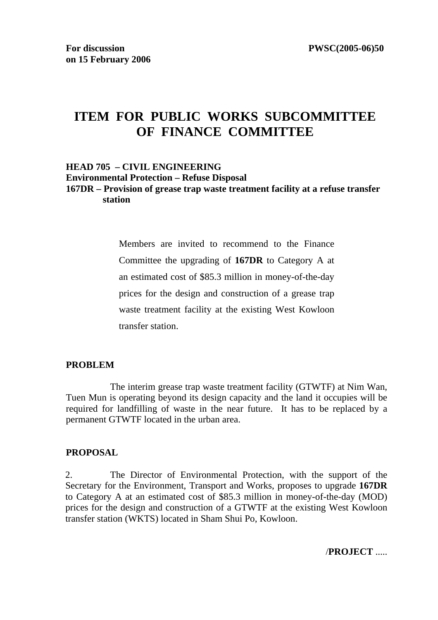# **ITEM FOR PUBLIC WORKS SUBCOMMITTEE OF FINANCE COMMITTEE**

#### **HEAD 705 – CIVIL ENGINEERING Environmental Protection – Refuse Disposal 167DR – Provision of grease trap waste treatment facility at a refuse transfer station**

Members are invited to recommend to the Finance Committee the upgrading of **167DR** to Category A at an estimated cost of \$85.3 million in money-of-the-day prices for the design and construction of a grease trap waste treatment facility at the existing West Kowloon transfer station.

### **PROBLEM**

 The interim grease trap waste treatment facility (GTWTF) at Nim Wan, Tuen Mun is operating beyond its design capacity and the land it occupies will be required for landfilling of waste in the near future. It has to be replaced by a permanent GTWTF located in the urban area.

#### **PROPOSAL**

2. The Director of Environmental Protection, with the support of the Secretary for the Environment, Transport and Works, proposes to upgrade **167DR**  to Category A at an estimated cost of \$85.3 million in money-of-the-day (MOD) prices for the design and construction of a GTWTF at the existing West Kowloon transfer station (WKTS) located in Sham Shui Po, Kowloon.

/**PROJECT** .....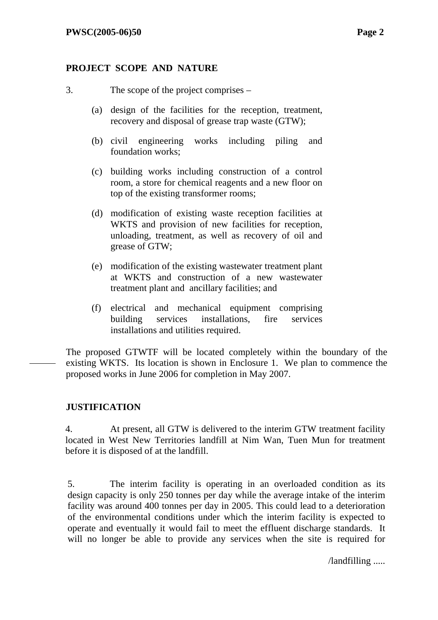### **PROJECT SCOPE AND NATURE**

- 3. The scope of the project comprises
	- (a) design of the facilities for the reception, treatment, recovery and disposal of grease trap waste (GTW);
	- (b) civil engineering works including piling and foundation works;
	- (c) building works including construction of a control room, a store for chemical reagents and a new floor on top of the existing transformer rooms;
	- (d) modification of existing waste reception facilities at WKTS and provision of new facilities for reception, unloading, treatment, as well as recovery of oil and grease of GTW;
	- (e) modification of the existing wastewater treatment plant at WKTS and construction of a new wastewater treatment plant and ancillary facilities; and
	- (f) electrical and mechanical equipment comprising building services installations, fire services installations and utilities required.

The proposed GTWTF will be located completely within the boundary of the existing WKTS. Its location is shown in Enclosure 1. We plan to commence the proposed works in June 2006 for completion in May 2007.

## **JUSTIFICATION**

4. At present, all GTW is delivered to the interim GTW treatment facility located in West New Territories landfill at Nim Wan, Tuen Mun for treatment before it is disposed of at the landfill.

5. The interim facility is operating in an overloaded condition as its design capacity is only 250 tonnes per day while the average intake of the interim facility was around 400 tonnes per day in 2005. This could lead to a deterioration of the environmental conditions under which the interim facility is expected to operate and eventually it would fail to meet the effluent discharge standards. It will no longer be able to provide any services when the site is required for

/landfilling .....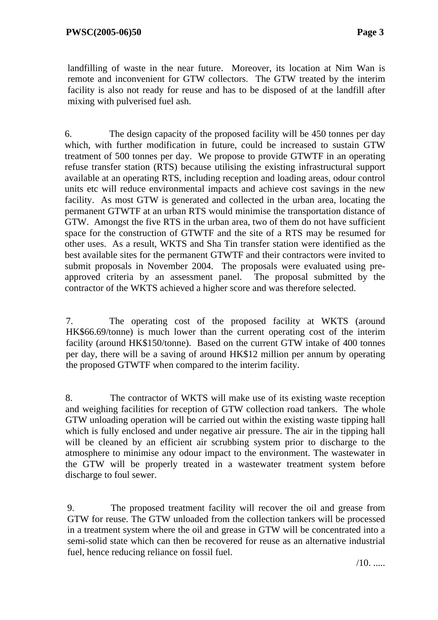landfilling of waste in the near future. Moreover, its location at Nim Wan is remote and inconvenient for GTW collectors. The GTW treated by the interim facility is also not ready for reuse and has to be disposed of at the landfill after mixing with pulverised fuel ash.

6. The design capacity of the proposed facility will be 450 tonnes per day which, with further modification in future, could be increased to sustain GTW treatment of 500 tonnes per day. We propose to provide GTWTF in an operating refuse transfer station (RTS) because utilising the existing infrastructural support available at an operating RTS, including reception and loading areas, odour control units etc will reduce environmental impacts and achieve cost savings in the new facility. As most GTW is generated and collected in the urban area, locating the permanent GTWTF at an urban RTS would minimise the transportation distance of GTW. Amongst the five RTS in the urban area, two of them do not have sufficient space for the construction of GTWTF and the site of a RTS may be resumed for other uses. As a result, WKTS and Sha Tin transfer station were identified as the best available sites for the permanent GTWTF and their contractors were invited to submit proposals in November 2004. The proposals were evaluated using preapproved criteria by an assessment panel. The proposal submitted by the contractor of the WKTS achieved a higher score and was therefore selected.

7. The operating cost of the proposed facility at WKTS (around HK\$66.69/tonne) is much lower than the current operating cost of the interim facility (around HK\$150/tonne). Based on the current GTW intake of 400 tonnes per day, there will be a saving of around HK\$12 million per annum by operating the proposed GTWTF when compared to the interim facility.

8. The contractor of WKTS will make use of its existing waste reception and weighing facilities for reception of GTW collection road tankers. The whole GTW unloading operation will be carried out within the existing waste tipping hall which is fully enclosed and under negative air pressure. The air in the tipping hall will be cleaned by an efficient air scrubbing system prior to discharge to the atmosphere to minimise any odour impact to the environment. The wastewater in the GTW will be properly treated in a wastewater treatment system before discharge to foul sewer.

9. The proposed treatment facility will recover the oil and grease from GTW for reuse. The GTW unloaded from the collection tankers will be processed in a treatment system where the oil and grease in GTW will be concentrated into a semi-solid state which can then be recovered for reuse as an alternative industrial fuel, hence reducing reliance on fossil fuel.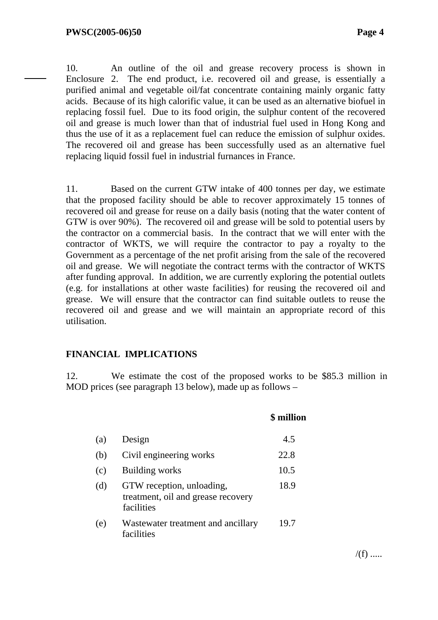10. An outline of the oil and grease recovery process is shown in Enclosure 2. The end product, i.e. recovered oil and grease, is essentially a purified animal and vegetable oil/fat concentrate containing mainly organic fatty acids. Because of its high calorific value, it can be used as an alternative biofuel in replacing fossil fuel. Due to its food origin, the sulphur content of the recovered oil and grease is much lower than that of industrial fuel used in Hong Kong and thus the use of it as a replacement fuel can reduce the emission of sulphur oxides. The recovered oil and grease has been successfully used as an alternative fuel replacing liquid fossil fuel in industrial furnances in France.

11. Based on the current GTW intake of 400 tonnes per day, we estimate that the proposed facility should be able to recover approximately 15 tonnes of recovered oil and grease for reuse on a daily basis (noting that the water content of GTW is over 90%). The recovered oil and grease will be sold to potential users by the contractor on a commercial basis. In the contract that we will enter with the contractor of WKTS, we will require the contractor to pay a royalty to the Government as a percentage of the net profit arising from the sale of the recovered oil and grease. We will negotiate the contract terms with the contractor of WKTS after funding approval. In addition, we are currently exploring the potential outlets (e.g. for installations at other waste facilities) for reusing the recovered oil and grease. We will ensure that the contractor can find suitable outlets to reuse the recovered oil and grease and we will maintain an appropriate record of this utilisation.

### **FINANCIAL IMPLICATIONS**

12. We estimate the cost of the proposed works to be \$85.3 million in MOD prices (see paragraph 13 below), made up as follows –

|     |                                                                               | \$ million |
|-----|-------------------------------------------------------------------------------|------------|
| (a) | Design                                                                        | 4.5        |
| (b) | Civil engineering works                                                       | 22.8       |
| (c) | <b>Building works</b>                                                         | 10.5       |
| (d) | GTW reception, unloading,<br>treatment, oil and grease recovery<br>facilities | 18.9       |
| (e) | Wastewater treatment and ancillary<br>facilities                              | 19.7       |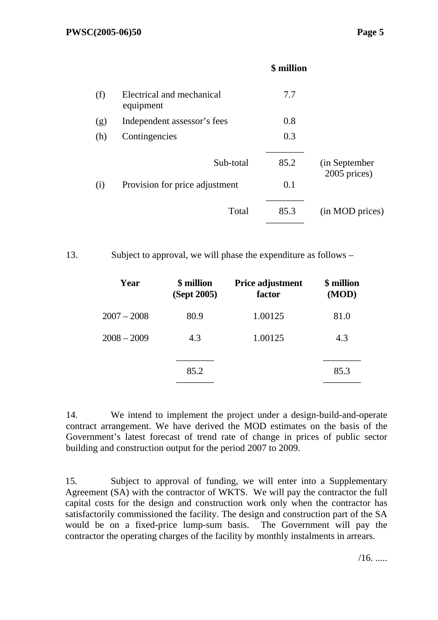|     |                                        | \$ million |                                |
|-----|----------------------------------------|------------|--------------------------------|
| (f) | Electrical and mechanical<br>equipment | 7.7        |                                |
| (g) | Independent assessor's fees            | 0.8        |                                |
| (h) | Contingencies                          | 0.3        |                                |
|     | Sub-total                              | 85.2       | (in September)<br>2005 prices) |
| (i) | Provision for price adjustment         | 0.1        |                                |
|     | Total                                  | 85.3       | (in MOD prices)                |
|     |                                        |            |                                |

13. Subject to approval, we will phase the expenditure as follows –

| Year          | \$ million<br>(Sept 2005) | Price adjustment<br>factor | \$ million<br>(MOD) |
|---------------|---------------------------|----------------------------|---------------------|
| $2007 - 2008$ | 80.9                      | 1.00125                    | 81.0                |
| $2008 - 2009$ | 4.3                       | 1.00125                    | 4.3                 |
|               | 85.2                      |                            | 85.3                |

14. We intend to implement the project under a design-build-and-operate contract arrangement. We have derived the MOD estimates on the basis of the Government's latest forecast of trend rate of change in prices of public sector building and construction output for the period 2007 to 2009.

15. Subject to approval of funding, we will enter into a Supplementary Agreement (SA) with the contractor of WKTS. We will pay the contractor the full capital costs for the design and construction work only when the contractor has satisfactorily commissioned the facility. The design and construction part of the SA would be on a fixed-price lump-sum basis. The Government will pay the contractor the operating charges of the facility by monthly instalments in arrears.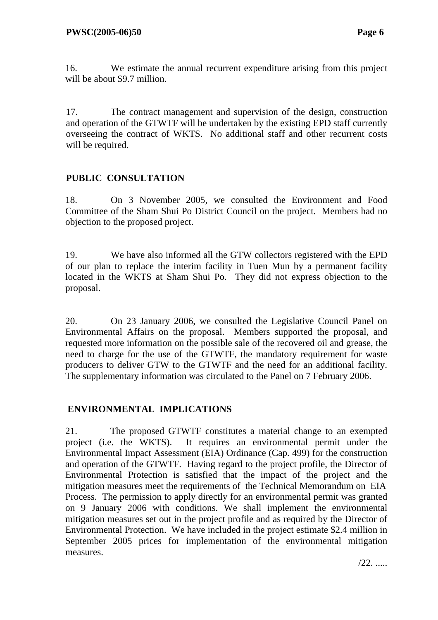16. We estimate the annual recurrent expenditure arising from this project will be about \$9.7 million.

17. The contract management and supervision of the design, construction and operation of the GTWTF will be undertaken by the existing EPD staff currently overseeing the contract of WKTS. No additional staff and other recurrent costs will be required.

# **PUBLIC CONSULTATION**

18. On 3 November 2005, we consulted the Environment and Food Committee of the Sham Shui Po District Council on the project. Members had no objection to the proposed project.

19. We have also informed all the GTW collectors registered with the EPD of our plan to replace the interim facility in Tuen Mun by a permanent facility located in the WKTS at Sham Shui Po. They did not express objection to the proposal.

20. On 23 January 2006, we consulted the Legislative Council Panel on Environmental Affairs on the proposal. Members supported the proposal, and requested more information on the possible sale of the recovered oil and grease, the need to charge for the use of the GTWTF, the mandatory requirement for waste producers to deliver GTW to the GTWTF and the need for an additional facility. The supplementary information was circulated to the Panel on 7 February 2006.

## **ENVIRONMENTAL IMPLICATIONS**

21. The proposed GTWTF constitutes a material change to an exempted project (i.e. the WKTS). It requires an environmental permit under the Environmental Impact Assessment (EIA) Ordinance (Cap. 499) for the construction and operation of the GTWTF. Having regard to the project profile, the Director of Environmental Protection is satisfied that the impact of the project and the mitigation measures meet the requirements of the Technical Memorandum on EIA Process. The permission to apply directly for an environmental permit was granted on 9 January 2006 with conditions. We shall implement the environmental mitigation measures set out in the project profile and as required by the Director of Environmental Protection. We have included in the project estimate \$2.4 million in September 2005 prices for implementation of the environmental mitigation measures.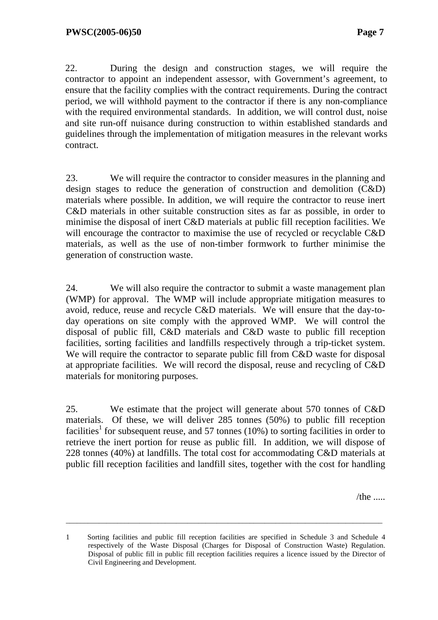22. During the design and construction stages, we will require the contractor to appoint an independent assessor, with Government's agreement, to ensure that the facility complies with the contract requirements. During the contract period, we will withhold payment to the contractor if there is any non-compliance with the required environmental standards. In addition, we will control dust, noise and site run-off nuisance during construction to within established standards and guidelines through the implementation of mitigation measures in the relevant works contract.

23. We will require the contractor to consider measures in the planning and design stages to reduce the generation of construction and demolition (C&D) materials where possible. In addition, we will require the contractor to reuse inert C&D materials in other suitable construction sites as far as possible, in order to minimise the disposal of inert C&D materials at public fill reception facilities. We will encourage the contractor to maximise the use of recycled or recyclable C&D materials, as well as the use of non-timber formwork to further minimise the generation of construction waste.

24. We will also require the contractor to submit a waste management plan (WMP) for approval. The WMP will include appropriate mitigation measures to avoid, reduce, reuse and recycle C&D materials. We will ensure that the day-today operations on site comply with the approved WMP. We will control the disposal of public fill, C&D materials and C&D waste to public fill reception facilities, sorting facilities and landfills respectively through a trip-ticket system. We will require the contractor to separate public fill from C&D waste for disposal at appropriate facilities. We will record the disposal, reuse and recycling of C&D materials for monitoring purposes.

25. We estimate that the project will generate about 570 tonnes of C&D materials. Of these, we will deliver 285 tonnes (50%) to public fill reception facilities<sup>1</sup> for subsequent reuse, and 57 tonnes (10%) to sorting facilities in order to retrieve the inert portion for reuse as public fill. In addition, we will dispose of 228 tonnes (40%) at landfills. The total cost for accommodating C&D materials at public fill reception facilities and landfill sites, together with the cost for handling

 $/$ the  $\ldots$ 

\_\_\_\_\_\_\_\_\_\_\_\_\_\_\_\_\_\_\_\_\_\_\_\_\_\_\_\_\_\_\_\_\_\_\_\_\_\_\_\_\_\_\_\_\_\_\_\_\_\_\_\_\_\_\_\_\_\_\_\_\_\_\_\_\_\_\_\_\_\_\_\_\_\_\_\_\_\_\_\_\_\_\_\_\_\_

<sup>1</sup> Sorting facilities and public fill reception facilities are specified in Schedule 3 and Schedule 4 respectively of the Waste Disposal (Charges for Disposal of Construction Waste) Regulation. Disposal of public fill in public fill reception facilities requires a licence issued by the Director of Civil Engineering and Development.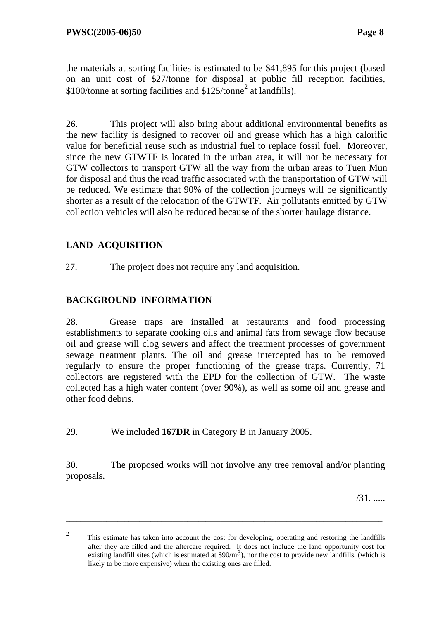the materials at sorting facilities is estimated to be \$41,895 for this project (based on an unit cost of \$27/tonne for disposal at public fill reception facilities,  $$100$ /tonne at sorting facilities and  $$125$ /tonne<sup>2</sup> at landfills).

26. This project will also bring about additional environmental benefits as the new facility is designed to recover oil and grease which has a high calorific value for beneficial reuse such as industrial fuel to replace fossil fuel. Moreover, since the new GTWTF is located in the urban area, it will not be necessary for GTW collectors to transport GTW all the way from the urban areas to Tuen Mun for disposal and thus the road traffic associated with the transportation of GTW will be reduced. We estimate that 90% of the collection journeys will be significantly shorter as a result of the relocation of the GTWTF. Air pollutants emitted by GTW collection vehicles will also be reduced because of the shorter haulage distance.

# **LAND ACQUISITION**

27. The project does not require any land acquisition.

# **BACKGROUND INFORMATION**

28. Grease traps are installed at restaurants and food processing establishments to separate cooking oils and animal fats from sewage flow because oil and grease will clog sewers and affect the treatment processes of government sewage treatment plants. The oil and grease intercepted has to be removed regularly to ensure the proper functioning of the grease traps. Currently, 71 collectors are registered with the EPD for the collection of GTW. The waste collected has a high water content (over 90%), as well as some oil and grease and other food debris.

29. We included **167DR** in Category B in January 2005.

30. The proposed works will not involve any tree removal and/or planting proposals.

/31. .....

\_\_\_\_\_\_\_\_\_\_\_\_\_\_\_\_\_\_\_\_\_\_\_\_\_\_\_\_\_\_\_\_\_\_\_\_\_\_\_\_\_\_\_\_\_\_\_\_\_\_\_\_\_\_\_\_\_\_\_\_\_\_\_\_\_\_\_\_\_\_\_\_\_\_\_\_\_\_\_\_\_\_\_\_\_\_

<sup>2</sup> This estimate has taken into account the cost for developing, operating and restoring the landfills after they are filled and the aftercare required. It does not include the land opportunity cost for existing landfill sites (which is estimated at \$90/m<sup>3</sup>), nor the cost to provide new landfills, (which is likely to be more expensive) when the existing ones are filled.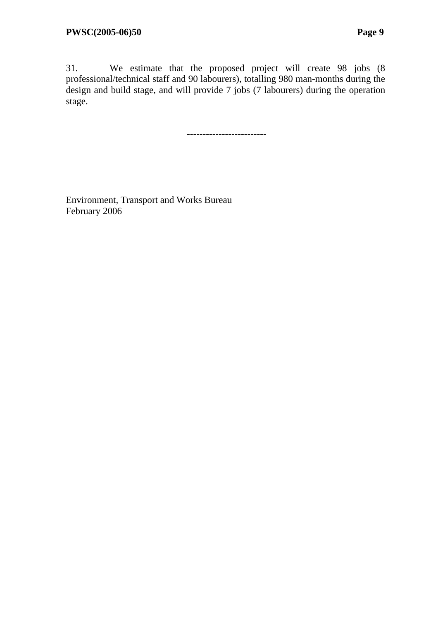31. We estimate that the proposed project will create 98 jobs (8 professional/technical staff and 90 labourers), totalling 980 man-months during the design and build stage, and will provide 7 jobs (7 labourers) during the operation stage.

-------------------------

Environment, Transport and Works Bureau February 2006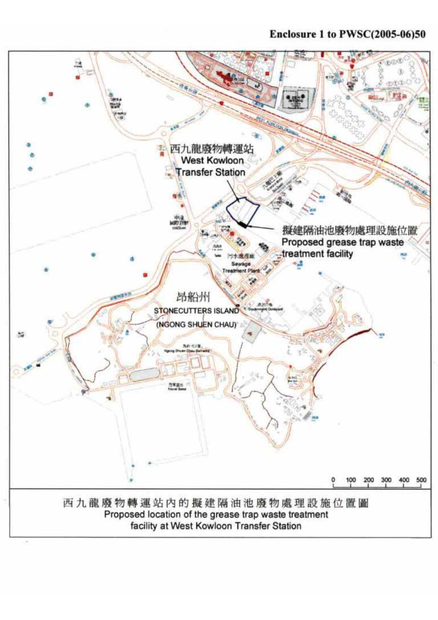# Enclosure 1 to PWSC(2005-06)50